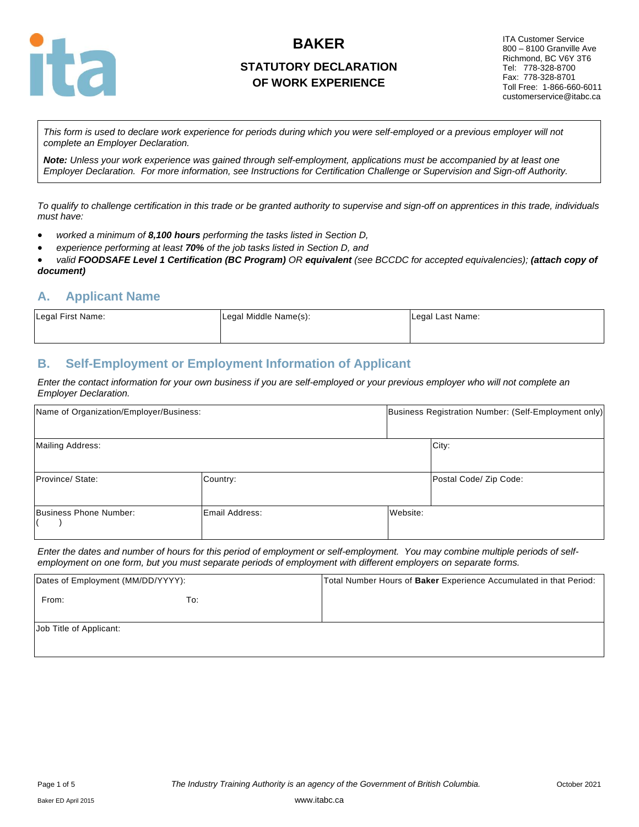

## **STATUTORY DECLARATION OF WORK EXPERIENCE**

ITA Customer Service 800 – 8100 Granville Ave Richmond, BC V6Y 3T6 Tel: 778-328-8700 Fax: 778-328-8701 Toll Free: 1-866-660-6011 customerservice@itabc.ca

*This form is used to declare work experience for periods during which you were self-employed or a previous employer will not complete an Employer Declaration.* 

*Note: Unless your work experience was gained through self-employment, applications must be accompanied by at least one Employer Declaration. For more information, see Instructions for Certification Challenge or Supervision and Sign-off Authority.*

*To qualify to challenge certification in this trade or be granted authority to supervise and sign-off on apprentices in this trade, individuals must have:*

- *worked a minimum of 8,100 hours performing the tasks listed in Section D,*
- *experience performing at least 70% of the job tasks listed in Section D, and*
- *valid FOODSAFE Level 1 Certification (BC Program) OR equivalent (see BCCDC for accepted equivalencies); (attach copy of document)*

#### **A. Applicant Name**

| Legal First Name: | Legal Middle Name(s): | Legal Last Name: |
|-------------------|-----------------------|------------------|
|                   |                       |                  |

#### **B. Self-Employment or Employment Information of Applicant**

*Enter the contact information for your own business if you are self-employed or your previous employer who will not complete an Employer Declaration.*

| Name of Organization/Employer/Business: |                |          | Business Registration Number: (Self-Employment only) |  |  |
|-----------------------------------------|----------------|----------|------------------------------------------------------|--|--|
| Mailing Address:                        |                |          | City:                                                |  |  |
| Province/ State:                        | Country:       |          | Postal Code/ Zip Code:                               |  |  |
| Business Phone Number:                  | Email Address: | Website: |                                                      |  |  |

*Enter the dates and number of hours for this period of employment or self-employment. You may combine multiple periods of selfemployment on one form, but you must separate periods of employment with different employers on separate forms.*

| Dates of Employment (MM/DD/YYYY): |     | Total Number Hours of Baker Experience Accumulated in that Period: |
|-----------------------------------|-----|--------------------------------------------------------------------|
| From:                             | To: |                                                                    |
| Job Title of Applicant:           |     |                                                                    |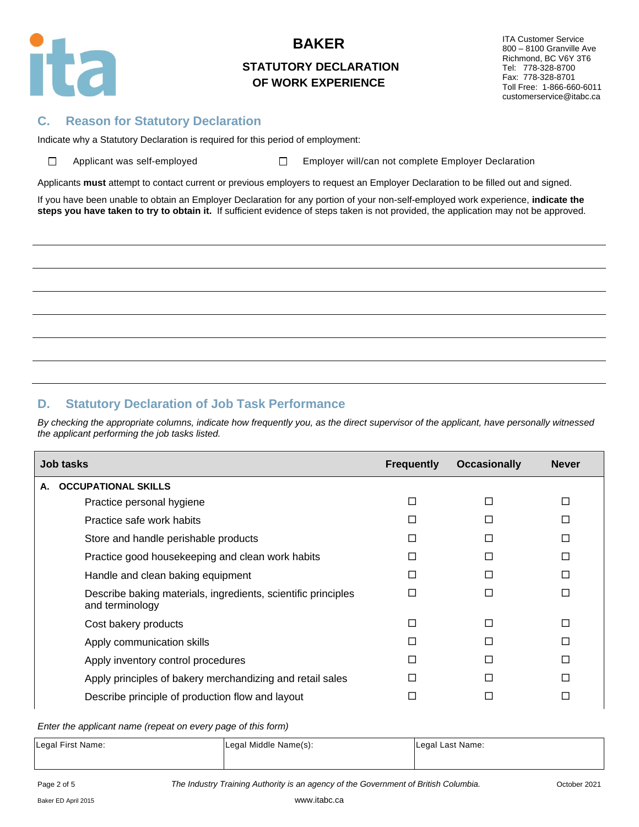

## **STATUTORY DECLARATION OF WORK EXPERIENCE**

ITA Customer Service 800 – 8100 Granville Ave Richmond, BC V6Y 3T6 Tel: 778-328-8700 Fax: 778-328-8701 Toll Free: 1-866-660-6011 customerservice@itabc.ca

#### **C. Reason for Statutory Declaration**

Indicate why a Statutory Declaration is required for this period of employment:

| Applicant was self-employ |  |
|---------------------------|--|
|                           |  |

yed  $\Box$  Employer will/can not complete Employer Declaration

Applicants **must** attempt to contact current or previous employers to request an Employer Declaration to be filled out and signed.

If you have been unable to obtain an Employer Declaration for any portion of your non-self-employed work experience, **indicate the steps you have taken to try to obtain it.** If sufficient evidence of steps taken is not provided, the application may not be approved.

#### **D. Statutory Declaration of Job Task Performance**

*By checking the appropriate columns, indicate how frequently you, as the direct supervisor of the applicant, have personally witnessed the applicant performing the job tasks listed.*

| <b>Job tasks</b>                                                                 | <b>Frequently</b> | <b>Occasionally</b> | <b>Never</b> |
|----------------------------------------------------------------------------------|-------------------|---------------------|--------------|
| <b>OCCUPATIONAL SKILLS</b><br>А.                                                 |                   |                     |              |
| Practice personal hygiene                                                        | п                 | П                   | П            |
| Practice safe work habits                                                        |                   |                     | П            |
| Store and handle perishable products                                             | П                 | п                   | П            |
| Practice good housekeeping and clean work habits                                 | ΙI                | ΙI                  | П            |
| Handle and clean baking equipment                                                |                   |                     | П            |
| Describe baking materials, ingredients, scientific principles<br>and terminology |                   | П                   | П            |
| Cost bakery products                                                             | П                 | П                   | П            |
| Apply communication skills                                                       |                   | ΙI                  | П            |
| Apply inventory control procedures                                               | П                 | п                   | П            |
| Apply principles of bakery merchandizing and retail sales                        | ш                 | П                   | П            |
| Describe principle of production flow and layout                                 |                   |                     | $\Box$       |

*Enter the applicant name (repeat on every page of this form)*

| Legal First Name: | Legal Middle Name(s): | Legal Last Name: |
|-------------------|-----------------------|------------------|
|                   |                       |                  |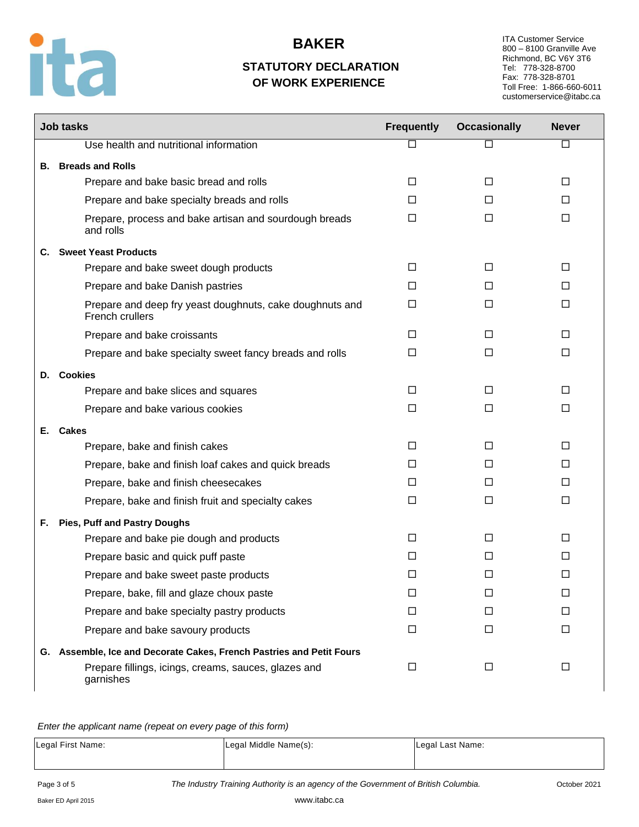

## **STATUTORY DECLARATION OF WORK EXPERIENCE**

ITA Customer Service 800 – 8100 Granville Ave Richmond, BC V6Y 3T6 Tel: 778-328-8700 Fax: 778-328-8701 Toll Free: 1-866-660-6011 customerservice@itabc.ca

ī

|    | <b>Job tasks</b>                                                            | <b>Frequently</b> | <b>Occasionally</b> | <b>Never</b> |
|----|-----------------------------------------------------------------------------|-------------------|---------------------|--------------|
|    | Use health and nutritional information                                      | □                 | $\Box$              | □            |
| В. | <b>Breads and Rolls</b>                                                     |                   |                     |              |
|    | Prepare and bake basic bread and rolls                                      | □                 | □                   | □            |
|    | Prepare and bake specialty breads and rolls                                 | $\Box$            | $\Box$              | П            |
|    | Prepare, process and bake artisan and sourdough breads<br>and rolls         | □                 | □                   | $\Box$       |
| C. | <b>Sweet Yeast Products</b>                                                 |                   |                     |              |
|    | Prepare and bake sweet dough products                                       | $\Box$            | $\Box$              | □            |
|    | Prepare and bake Danish pastries                                            | П                 | П                   | П            |
|    | Prepare and deep fry yeast doughnuts, cake doughnuts and<br>French crullers | □                 | П                   | $\Box$       |
|    | Prepare and bake croissants                                                 | $\Box$            | $\Box$              | $\Box$       |
|    | Prepare and bake specialty sweet fancy breads and rolls                     | □                 | □                   | □            |
|    | D. Cookies                                                                  |                   |                     |              |
|    | Prepare and bake slices and squares                                         | $\Box$            | $\Box$              | $\Box$       |
|    | Prepare and bake various cookies                                            | $\Box$            | $\Box$              | □            |
| Е. | <b>Cakes</b>                                                                |                   |                     |              |
|    | Prepare, bake and finish cakes                                              | □                 | □                   | □            |
|    | Prepare, bake and finish loaf cakes and quick breads                        | П                 | П                   | П            |
|    | Prepare, bake and finish cheesecakes                                        | П                 | П                   | П            |
|    | Prepare, bake and finish fruit and specialty cakes                          | $\Box$            | $\Box$              | $\Box$       |
| F. | <b>Pies, Puff and Pastry Doughs</b>                                         |                   |                     |              |
|    | Prepare and bake pie dough and products                                     | $\Box$            | $\Box$              | $\Box$       |
|    | Prepare basic and quick puff paste                                          | П                 | П                   | П            |
|    | Prepare and bake sweet paste products                                       | □                 | □                   | □            |
|    | Prepare, bake, fill and glaze choux paste                                   | □                 | □                   | □            |
|    | Prepare and bake specialty pastry products                                  | □                 | □                   | □            |
|    | Prepare and bake savoury products                                           | $\Box$            | $\Box$              | $\Box$       |
|    | G. Assemble, Ice and Decorate Cakes, French Pastries and Petit Fours        |                   |                     |              |
|    | Prepare fillings, icings, creams, sauces, glazes and<br>garnishes           | $\Box$            | $\Box$              | $\Box$       |

*Enter the applicant name (repeat on every page of this form)*

| Legal First Name: | Legal Middle Name(s): | Legal Last Name: |
|-------------------|-----------------------|------------------|
|                   |                       |                  |

Page 3 of 5 **The Industry Training Authority is an agency of the Government of British Columbia.** Cotober 2021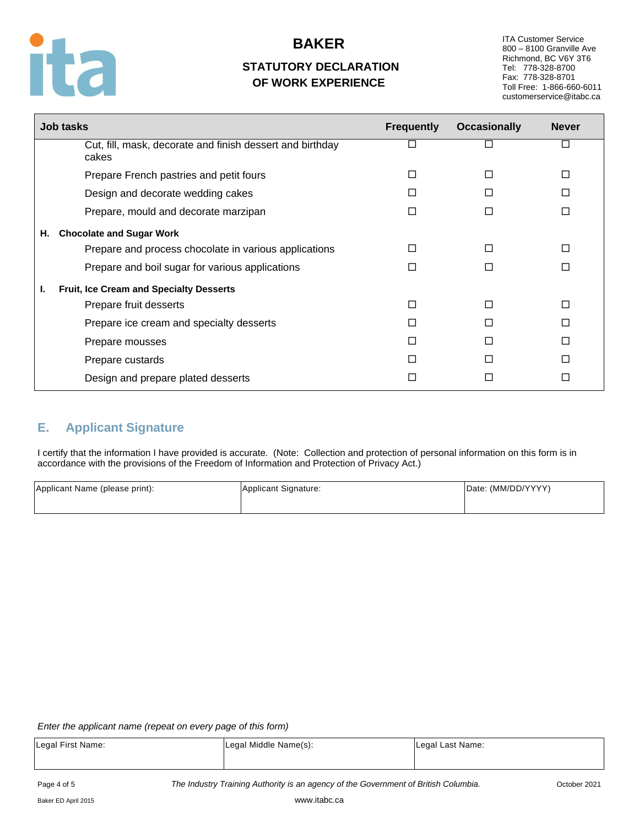

## **STATUTORY DECLARATION OF WORK EXPERIENCE**

ITA Customer Service 800 – 8100 Granville Ave Richmond, BC V6Y 3T6 Tel: 778-328-8700 Fax: 778-328-8701 Toll Free: 1-866-660-6011 customerservice@itabc.ca

|    | <b>Job tasks</b>                                                   | <b>Frequently</b> | <b>Occasionally</b> | <b>Never</b> |
|----|--------------------------------------------------------------------|-------------------|---------------------|--------------|
|    | Cut, fill, mask, decorate and finish dessert and birthday<br>cakes | □                 | П                   |              |
|    | Prepare French pastries and petit fours                            | □                 | П                   | П            |
|    | Design and decorate wedding cakes                                  | П                 |                     |              |
|    | Prepare, mould and decorate marzipan                               | □                 | П                   |              |
| Η. | <b>Chocolate and Sugar Work</b>                                    |                   |                     |              |
|    | Prepare and process chocolate in various applications              | П                 | П                   |              |
|    | Prepare and boil sugar for various applications                    | □                 | П                   |              |
| ı. | Fruit, Ice Cream and Specialty Desserts                            |                   |                     |              |
|    | Prepare fruit desserts                                             | П                 | П                   |              |
|    | Prepare ice cream and specialty desserts                           | П                 | П                   |              |
|    | Prepare mousses                                                    | П                 |                     |              |
|    | Prepare custards                                                   | П                 | П                   |              |
|    | Design and prepare plated desserts                                 | П                 |                     |              |

## **E. Applicant Signature**

I certify that the information I have provided is accurate. (Note: Collection and protection of personal information on this form is in accordance with the provisions of the Freedom of Information and Protection of Privacy Act.)

| Applicant Name (please print): | Applicant Signature: | Date: (MM/DD/YYYY) |  |
|--------------------------------|----------------------|--------------------|--|
|                                |                      |                    |  |

#### *Enter the applicant name (repeat on every page of this form)*

| Legal First Name: | Legal Middle Name(s): | Legal Last Name: |
|-------------------|-----------------------|------------------|
|                   |                       |                  |
|                   |                       |                  |

Page 4 of 5 *The Industry Training Authority is an agency of the Government of British Columbia.* October 2021